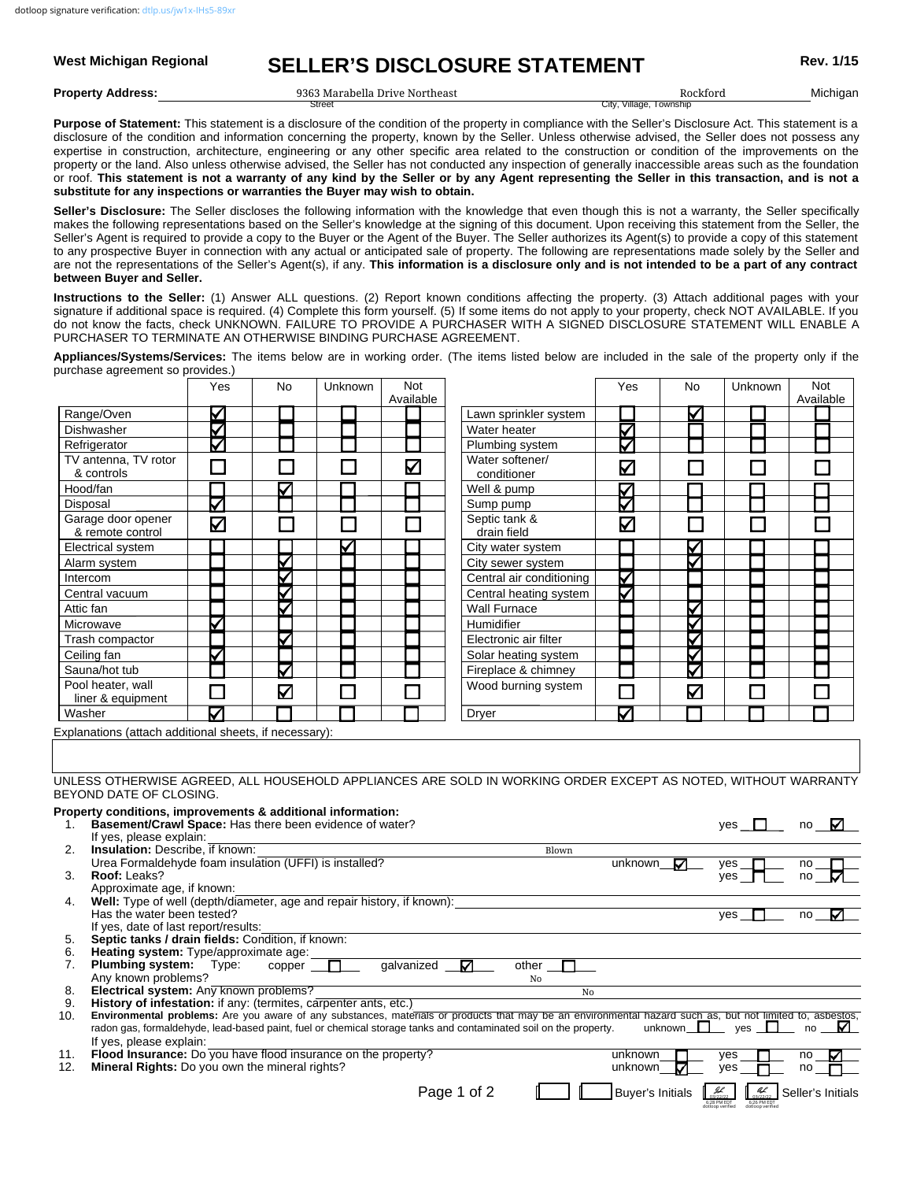# West Michigan Regional **SELLER'S DISCLOSURE STATEMENT** Rev. 1/15

**Property Address:** Michigan 9363 Marabella Drive Northeast Rockford

City, Village, Townshir

Purpose of Statement: This statement is a disclosure of the condition of the property in compliance with the Seller's Disclosure Act. This statement is a disclosure of the condition and information concerning the property, known by the Seller. Unless otherwise advised, the Seller does not possess any expertise in construction, architecture, engineering or any other specific area related to the construction or condition of the improvements on the property or the land. Also unless otherwise advised, the Seller has not conducted any inspection of generally inaccessible areas such as the foundation or roof. **This statement is not a warranty of any kind by the Seller or by any Agent representing the Seller in this transaction, and is not a substitute for any inspections or warranties the Buyer may wish to obtain.**

**Seller's Disclosure:** The Seller discloses the following information with the knowledge that even though this is not a warranty, the Seller specifically makes the following representations based on the Seller's knowledge at the signing of this document. Upon receiving this statement from the Seller, the Seller's Agent is required to provide a copy to the Buyer or the Agent of the Buyer. The Seller authorizes its Agent(s) to provide a copy of this statement to any prospective Buyer in connection with any actual or anticipated sale of property. The following are representations made solely by the Seller and are not the representations of the Seller's Agent(s), if any. **This information is a disclosure only and is not intended to be a part of any contract between Buyer and Seller.**

**Instructions to the Seller:** (1) Answer ALL questions. (2) Report known conditions affecting the property. (3) Attach additional pages with your signature if additional space is required. (4) Complete this form yourself. (5) If some items do not apply to your property, check NOT AVAILABLE. If you do not know the facts, check UNKNOWN. FAILURE TO PROVIDE A PURCHASER WITH A SIGNED DISCLOSURE STATEMENT WILL ENABLE A PURCHASER TO TERMINATE AN OTHERWISE BINDING PURCHASE AGREEMENT.

**Appliances/Systems/Services:** The items below are in working order. (The items listed below are included in the sale of the property only if the purchase agreement so provides.)

|                                                                                                                                                         | Yes   | No | <b>Unknown</b> | <b>Not</b> |                                                                                                                                                           | Yes                     | No              | <b>Unknown</b> | <b>Not</b>               |
|---------------------------------------------------------------------------------------------------------------------------------------------------------|-------|----|----------------|------------|-----------------------------------------------------------------------------------------------------------------------------------------------------------|-------------------------|-----------------|----------------|--------------------------|
| Range/Oven                                                                                                                                              | ⊻     |    |                | Available  | Lawn sprinkler system                                                                                                                                     |                         |                 |                | Available                |
| Dishwasher                                                                                                                                              |       |    |                |            | Water heater                                                                                                                                              |                         | V               |                |                          |
| Refrigerator                                                                                                                                            | ΝЫ    |    |                |            | Plumbing system                                                                                                                                           | Ж                       |                 |                |                          |
| TV antenna, TV rotor                                                                                                                                    |       |    |                |            | Water softener/                                                                                                                                           |                         |                 |                |                          |
| & controls                                                                                                                                              |       |    |                | V          | conditioner                                                                                                                                               | V                       |                 |                |                          |
| Hood/fan                                                                                                                                                |       |    |                |            | Well & pump                                                                                                                                               |                         |                 |                |                          |
| Disposal                                                                                                                                                | ⊽     |    |                |            | Sump pump                                                                                                                                                 | ЯΣ                      |                 |                |                          |
| Garage door opener                                                                                                                                      | Κ     | ┓  | $\Box$         |            | Septic tank &                                                                                                                                             | Μ                       |                 |                |                          |
| & remote control                                                                                                                                        |       |    |                |            | drain field                                                                                                                                               |                         |                 |                |                          |
| Electrical system                                                                                                                                       |       |    |                |            | City water system                                                                                                                                         |                         |                 |                |                          |
| Alarm system                                                                                                                                            |       | ✓  |                |            | City sewer system                                                                                                                                         |                         | ⊽               |                |                          |
| Intercom                                                                                                                                                |       | ⊽  |                |            | Central air conditioning                                                                                                                                  | ✓                       |                 |                |                          |
| Central vacuum                                                                                                                                          |       | ✓  |                |            | Central heating system                                                                                                                                    |                         |                 |                |                          |
| Attic fan                                                                                                                                               |       |    |                |            | <b>Wall Furnace</b>                                                                                                                                       |                         |                 |                |                          |
| Microwave                                                                                                                                               |       |    |                |            | Humidifier                                                                                                                                                |                         | Δ               |                |                          |
| Trash compactor                                                                                                                                         |       | ⊽  |                |            | Electronic air filter                                                                                                                                     |                         |                 |                |                          |
| Ceiling fan                                                                                                                                             |       |    |                |            | Solar heating system                                                                                                                                      |                         | ⊽               |                |                          |
| Sauna/hot tub                                                                                                                                           |       | ⊽  |                |            | Fireplace & chimney                                                                                                                                       |                         | ⊽               |                |                          |
| Pool heater, wall                                                                                                                                       |       | Δ  |                |            | Wood burning system                                                                                                                                       |                         | Κ               |                |                          |
| liner & equipment                                                                                                                                       |       |    |                |            |                                                                                                                                                           |                         |                 |                |                          |
| Washer<br>Explanations (attach additional sheets, if necessary):                                                                                        | ✓     |    |                |            | Dryer                                                                                                                                                     | ✓                       |                 |                |                          |
| BEYOND DATE OF CLOSING.<br>Property conditions, improvements & additional information:<br>Basement/Crawl Space: Has there been evidence of water?<br>1. |       |    |                |            | UNLESS OTHERWISE AGREED, ALL HOUSEHOLD APPLIANCES ARE SOLD IN WORKING ORDER EXCEPT AS NOTED, WITHOUT WARRANTY                                             |                         |                 | yes $\Box$     | no $\boldsymbol{\nabla}$ |
| If yes, please explain:                                                                                                                                 |       |    |                |            |                                                                                                                                                           |                         |                 |                |                          |
| <b>Insulation: Describe, if known:</b><br>2.                                                                                                            |       |    |                |            | Blown                                                                                                                                                     |                         |                 |                |                          |
| Urea Formaldehyde foam insulation (UFFI) is installed?<br>Roof: Leaks?<br>3.                                                                            |       |    |                |            |                                                                                                                                                           | unknown                 | ☑               | yes            | no                       |
| Approximate age, if known:                                                                                                                              |       |    |                |            |                                                                                                                                                           |                         |                 | ves            | no                       |
| Well: Type of well (depth/diameter, age and repair history, if known):<br>4.                                                                            |       |    |                |            |                                                                                                                                                           |                         |                 |                |                          |
| Has the water been tested?                                                                                                                              |       |    |                |            |                                                                                                                                                           |                         |                 | yes            | no<br>⊽                  |
| If yes, date of last report/results:                                                                                                                    |       |    |                |            |                                                                                                                                                           |                         |                 |                |                          |
| Septic tanks / drain fields: Condition, if known:<br>5.<br>Heating system: Type/approximate age:<br>6.                                                  |       |    |                |            |                                                                                                                                                           |                         |                 |                |                          |
| <b>Plumbing system:</b><br>7.                                                                                                                           | Type: |    | $copper \Box$  | galvanized | other<br>M                                                                                                                                                |                         |                 |                |                          |
| Any known problems?                                                                                                                                     |       |    |                |            | No                                                                                                                                                        |                         |                 |                |                          |
| Electrical system: Any known problems?<br>8.                                                                                                            |       |    |                |            | No                                                                                                                                                        |                         |                 |                |                          |
| History of infestation: if any: (termites, carpenter ants, etc.)<br>9.                                                                                  |       |    |                |            | Environmental problems: Are you aware of any substances, materials or products that may be an environmental hazard such as, but not limited to, asbestos, |                         |                 |                |                          |
| 10.                                                                                                                                                     |       |    |                |            | radon gas, formaldehyde, lead-based paint, fuel or chemical storage tanks and contaminated soil on the property.                                          |                         | $unknown$ $ves$ |                | no                       |
| If yes, please explain:                                                                                                                                 |       |    |                |            |                                                                                                                                                           |                         |                 |                |                          |
| Flood Insurance: Do you have flood insurance on the property?<br>11.                                                                                    |       |    |                |            |                                                                                                                                                           | unknown                 |                 | yes            | no                       |
| Mineral Rights: Do you own the mineral rights?<br>12.                                                                                                   |       |    |                |            |                                                                                                                                                           | unknown                 | ✓               | yes            | no                       |
|                                                                                                                                                         |       |    |                |            | Page 1 of 2                                                                                                                                               | <b>Buyer's Initials</b> |                 | al             | Seller's Initials        |
|                                                                                                                                                         |       |    |                |            |                                                                                                                                                           |                         |                 |                |                          |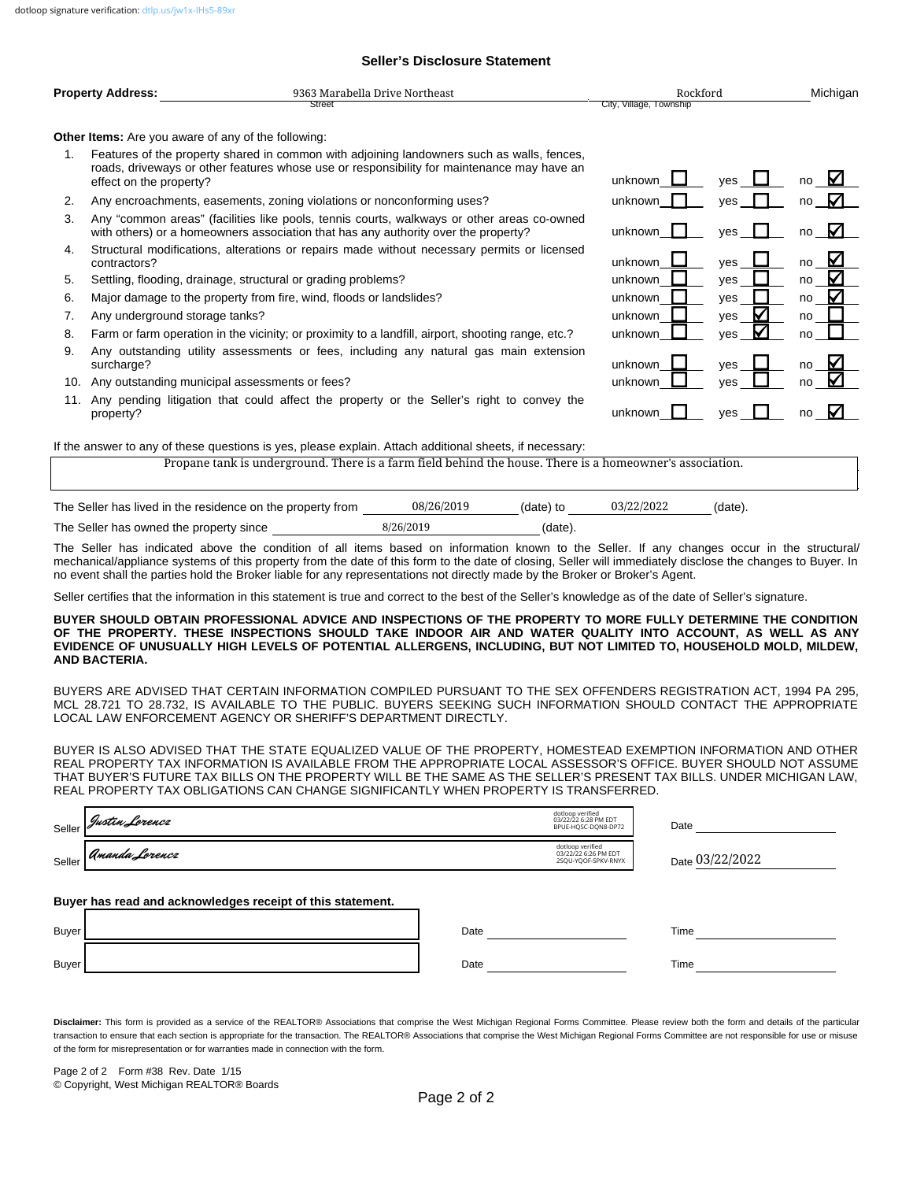#### **Seller's Disclosure Statement**

| <b>Property Address:</b> | 9363 Marabella Drive Northeast | Rockford                | Michigan |
|--------------------------|--------------------------------|-------------------------|----------|
|                          | Street                         | City, Village, Township |          |

unknown  $\Box$  yes  $\Box$  no

unknown  $\Box$  yes  $\Box$  no

unknown  $\Box$  yes  $\Box$  no

☑

☑

unknown  $\Box$  ves  $\Box$  no

unknown  $\Box$  yes  $\Box$  no unknown  $\Box$  yes  $\Box$  no unknown  $\Box$  yes  $\Box$  no unknown  $\Box$  yes  $\Box$  no

unknown  $\Box$  yes  $\Box$  no unknown  $\Box$  ves  $\Box$  no

unknown  $\Box$  yes  $\Box$  no

**Other Items:** Are you aware of any of the following:

- 1. Features of the property shared in common with adjoining landowners such as walls, fences, roads, driveways or other features whose use or responsibility for maintenance may have an effect on the property?
- 2. Any encroachments, easements, zoning violations or nonconforming uses?
- 3. Any "common areas" (facilities like pools, tennis courts, walkways or other areas co-owned with others) or a homeowners association that has any authority over the property?
- 4. Structural modifications, alterations or repairs made without necessary permits or licensed contractors?
- 5. Settling, flooding, drainage, structural or grading problems?
- 6. Major damage to the property from fire, wind, floods or landslides?
- 7. Any underground storage tanks?
- 8. Farm or farm operation in the vicinity; or proximity to a landfill, airport, shooting range, etc.?
- 9. Any outstanding utility assessments or fees, including any natural gas main extension surcharge?
- 10. Any outstanding municipal assessments or fees?
- 11. Any pending litigation that could affect the property or the Seller's right to convey the property?

If the answer to any of these questions is yes, please explain. Attach additional sheets, if necessary:

Propane tank is underground. There is a farm field behind the house. There is a homeowner's association.

| The Seller has lived in the residence on the property from | 08/26/2019 | (date) to | 03/22/2022 | (date). |
|------------------------------------------------------------|------------|-----------|------------|---------|
| The Seller has owned the property since                    | 8/26/2019  | (date).   |            |         |

The Seller has indicated above the condition of all items based on information known to the Seller. If any changes occur in the structural/ mechanical/appliance systems of this property from the date of this form to the date of closing, Seller will immediately disclose the changes to Buyer. In no event shall the parties hold the Broker liable for any representations not directly made by the Broker or Broker's Agent.

Seller certifies that the information in this statement is true and correct to the best of the Seller's knowledge as of the date of Seller's signature.

#### **BUYER SHOULD OBTAIN PROFESSIONAL ADVICE AND INSPECTIONS OF THE PROPERTY TO MORE FULLY DETERMINE THE CONDITION OF THE PROPERTY. THESE INSPECTIONS SHOULD TAKE INDOOR AIR AND WATER QUALITY INTO ACCOUNT, AS WELL AS ANY EVIDENCE OF UNUSUALLY HIGH LEVELS OF POTENTIAL ALLERGENS, INCLUDING, BUT NOT LIMITED TO, HOUSEHOLD MOLD, MILDEW, AND BACTERIA.**

BUYERS ARE ADVISED THAT CERTAIN INFORMATION COMPILED PURSUANT TO THE SEX OFFENDERS REGISTRATION ACT, 1994 PA 295, MCL 28.721 TO 28.732, IS AVAILABLE TO THE PUBLIC. BUYERS SEEKING SUCH INFORMATION SHOULD CONTACT THE APPROPRIATE LOCAL LAW ENFORCEMENT AGENCY OR SHERIFF'S DEPARTMENT DIRECTLY.

BUYER IS ALSO ADVISED THAT THE STATE EQUALIZED VALUE OF THE PROPERTY, HOMESTEAD EXEMPTION INFORMATION AND OTHER REAL PROPERTY TAX INFORMATION IS AVAILABLE FROM THE APPROPRIATE LOCAL ASSESSOR'S OFFICE. BUYER SHOULD NOT ASSUME THAT BUYER'S FUTURE TAX BILLS ON THE PROPERTY WILL BE THE SAME AS THE SELLER'S PRESENT TAX BILLS. UNDER MICHIGAN LAW, REAL PROPERTY TAX OBLIGATIONS CAN CHANGE SIGNIFICANTLY WHEN PROPERTY IS TRANSFERRED.

|              | Seller Justin Lorencz                                      |      | dotloop verified<br>03/22/22 6:28 PM EDT<br>BPUE-HQSC-DQN8-DP72 | Date            |
|--------------|------------------------------------------------------------|------|-----------------------------------------------------------------|-----------------|
|              | Seller <i>Amanda Lorencz</i>                               |      | dotloop verified<br>03/22/22 6:26 PM EDT<br>2SQU-YQOF-SPKV-RNYX | Date 03/22/2022 |
|              | Buyer has read and acknowledges receipt of this statement. |      |                                                                 |                 |
| <b>Buyer</b> |                                                            | Date |                                                                 | Time            |
| <b>Buyer</b> |                                                            | Date |                                                                 | Time            |

Disclaimer: This form is provided as a service of the REALTOR® Associations that comprise the West Michigan Regional Forms Committee. Please review both the form and details of the particular transaction to ensure that each section is appropriate for the transaction. The REALTOR® Associations that comprise the West Michigan Regional Forms Committee are not responsible for use or misuse of the form for misrepresentation or for warranties made in connection with the form.

Page 2 of 2 Form #38 Rev. Date 1/15 © Copyright, West Michigan REALTOR® Boards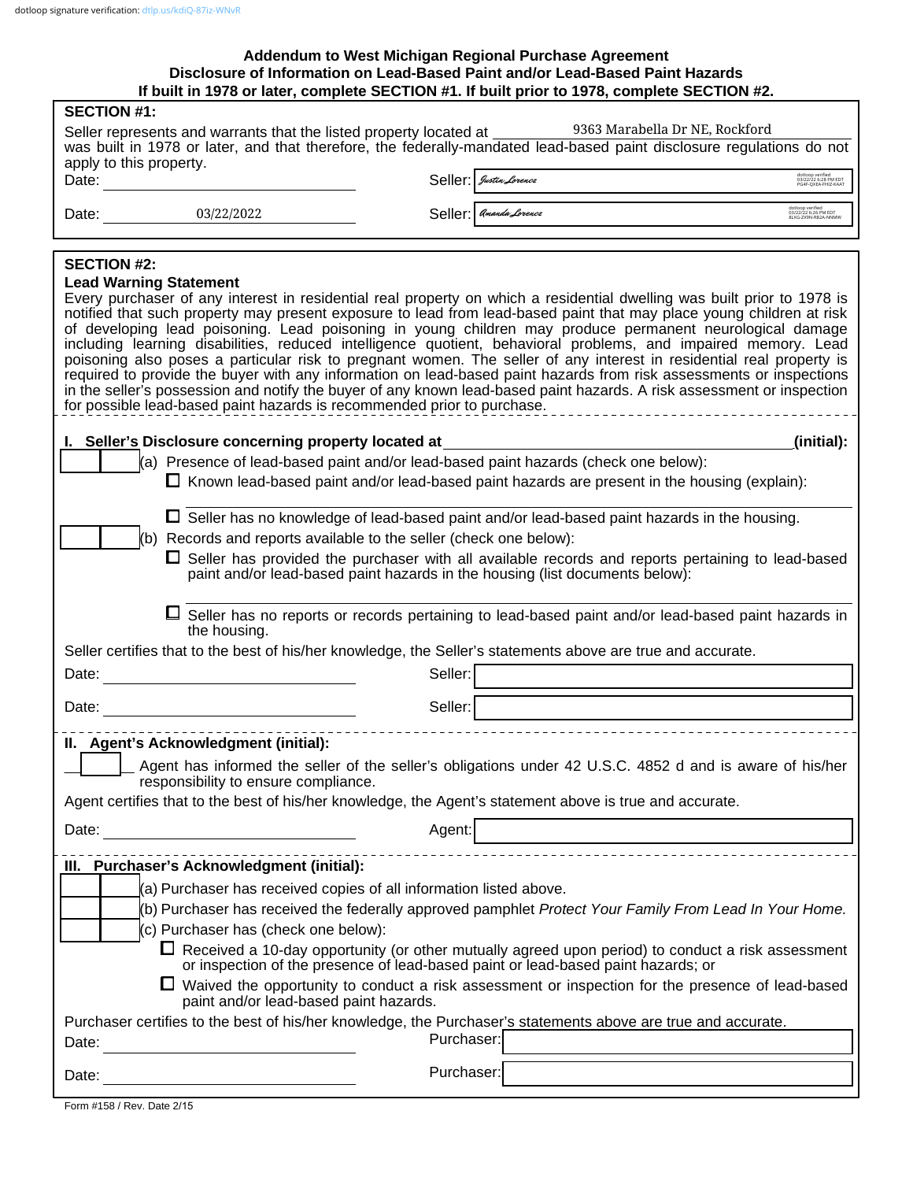### **If built in 1978 or later, complete SECTION #1. If built prior to 1978, complete SECTION #2. Addendum to West Michigan Regional Purchase Agreement Disclosure of Information on Lead-Based Paint and/or Lead-Based Paint Hazards**

| <b>SECTION #1:</b>                                                                                                                                                                                                                     |                                                                                                                                                   |                                                                                                              |                                                                                                                                                                                                                                                                                                                                                                                                                                                                                                                                                                                                                                                                                                                                                                                                                                                        |  |  |  |
|----------------------------------------------------------------------------------------------------------------------------------------------------------------------------------------------------------------------------------------|---------------------------------------------------------------------------------------------------------------------------------------------------|--------------------------------------------------------------------------------------------------------------|--------------------------------------------------------------------------------------------------------------------------------------------------------------------------------------------------------------------------------------------------------------------------------------------------------------------------------------------------------------------------------------------------------------------------------------------------------------------------------------------------------------------------------------------------------------------------------------------------------------------------------------------------------------------------------------------------------------------------------------------------------------------------------------------------------------------------------------------------------|--|--|--|
| 9363 Marabella Dr NE, Rockford<br>Seller represents and warrants that the listed property located at ________<br>was built in 1978 or later, and that therefore, the federally-mandated lead-based paint disclosure regulations do not |                                                                                                                                                   |                                                                                                              |                                                                                                                                                                                                                                                                                                                                                                                                                                                                                                                                                                                                                                                                                                                                                                                                                                                        |  |  |  |
| apply to this property.                                                                                                                                                                                                                |                                                                                                                                                   |                                                                                                              |                                                                                                                                                                                                                                                                                                                                                                                                                                                                                                                                                                                                                                                                                                                                                                                                                                                        |  |  |  |
|                                                                                                                                                                                                                                        | Date:                                                                                                                                             | Seller: Justin Lorence                                                                                       | dotloop verified<br>13/22/22 6:28 PM EDT<br>PG4F-QXEA-FHIZ-KAAT                                                                                                                                                                                                                                                                                                                                                                                                                                                                                                                                                                                                                                                                                                                                                                                        |  |  |  |
| Date: 03/22/2022                                                                                                                                                                                                                       |                                                                                                                                                   | Seller: <i>Amanda Lorencz</i>                                                                                | dotloop verified<br>03/22/22 6:26 PM EDT<br>8LXG-ZX9N-R82A-NNMW                                                                                                                                                                                                                                                                                                                                                                                                                                                                                                                                                                                                                                                                                                                                                                                        |  |  |  |
|                                                                                                                                                                                                                                        |                                                                                                                                                   |                                                                                                              |                                                                                                                                                                                                                                                                                                                                                                                                                                                                                                                                                                                                                                                                                                                                                                                                                                                        |  |  |  |
| <b>SECTION #2:</b>                                                                                                                                                                                                                     |                                                                                                                                                   |                                                                                                              |                                                                                                                                                                                                                                                                                                                                                                                                                                                                                                                                                                                                                                                                                                                                                                                                                                                        |  |  |  |
| <b>Lead Warning Statement</b>                                                                                                                                                                                                          | for possible lead-based paint hazards is recommended prior to purchase.                                                                           |                                                                                                              | Every purchaser of any interest in residential real property on which a residential dwelling was built prior to 1978 is<br>notified that such property may present exposure to lead from lead-based paint that may place young children at risk<br>of developing lead poisoning. Lead poisoning in young children may produce permanent neurological damage<br>including learning disabilities, reduced intelligence quotient, behavioral problems, and impaired memory. Lead<br>poisoning also poses a particular risk to pregnant women. The seller of any interest in residential real property is<br>required to provide the buyer with any information on lead-based paint hazards from risk assessments or inspections<br>in the seller's possession and notify the buyer of any known lead-based paint hazards. A risk assessment or inspection |  |  |  |
|                                                                                                                                                                                                                                        |                                                                                                                                                   |                                                                                                              | (initial):                                                                                                                                                                                                                                                                                                                                                                                                                                                                                                                                                                                                                                                                                                                                                                                                                                             |  |  |  |
|                                                                                                                                                                                                                                        | I. Seller's Disclosure concerning property located at                                                                                             | (a) Presence of lead-based paint and/or lead-based paint hazards (check one below):                          |                                                                                                                                                                                                                                                                                                                                                                                                                                                                                                                                                                                                                                                                                                                                                                                                                                                        |  |  |  |
|                                                                                                                                                                                                                                        |                                                                                                                                                   |                                                                                                              | $\Box$ Known lead-based paint and/or lead-based paint hazards are present in the housing (explain):                                                                                                                                                                                                                                                                                                                                                                                                                                                                                                                                                                                                                                                                                                                                                    |  |  |  |
|                                                                                                                                                                                                                                        |                                                                                                                                                   |                                                                                                              | $\Box$ Seller has no knowledge of lead-based paint and/or lead-based paint hazards in the housing.                                                                                                                                                                                                                                                                                                                                                                                                                                                                                                                                                                                                                                                                                                                                                     |  |  |  |
|                                                                                                                                                                                                                                        |                                                                                                                                                   | (b) Records and reports available to the seller (check one below):                                           |                                                                                                                                                                                                                                                                                                                                                                                                                                                                                                                                                                                                                                                                                                                                                                                                                                                        |  |  |  |
|                                                                                                                                                                                                                                        |                                                                                                                                                   |                                                                                                              | $\Box$ Seller has provided the purchaser with all available records and reports pertaining to lead-based                                                                                                                                                                                                                                                                                                                                                                                                                                                                                                                                                                                                                                                                                                                                               |  |  |  |
|                                                                                                                                                                                                                                        |                                                                                                                                                   | paint and/or lead-based paint hazards in the housing (list documents below):                                 |                                                                                                                                                                                                                                                                                                                                                                                                                                                                                                                                                                                                                                                                                                                                                                                                                                                        |  |  |  |
|                                                                                                                                                                                                                                        | the housing.                                                                                                                                      |                                                                                                              | □ Seller has no reports or records pertaining to lead-based paint and/or lead-based paint hazards in                                                                                                                                                                                                                                                                                                                                                                                                                                                                                                                                                                                                                                                                                                                                                   |  |  |  |
|                                                                                                                                                                                                                                        |                                                                                                                                                   | Seller certifies that to the best of his/her knowledge, the Seller's statements above are true and accurate. |                                                                                                                                                                                                                                                                                                                                                                                                                                                                                                                                                                                                                                                                                                                                                                                                                                                        |  |  |  |
| Date:                                                                                                                                                                                                                                  | <u> 1980 - Jan Stein, amerikansk politiker (</u>                                                                                                  | Seller:                                                                                                      |                                                                                                                                                                                                                                                                                                                                                                                                                                                                                                                                                                                                                                                                                                                                                                                                                                                        |  |  |  |
| Date:                                                                                                                                                                                                                                  |                                                                                                                                                   | Seller:                                                                                                      |                                                                                                                                                                                                                                                                                                                                                                                                                                                                                                                                                                                                                                                                                                                                                                                                                                                        |  |  |  |
|                                                                                                                                                                                                                                        | II. Agent's Acknowledgment (initial):                                                                                                             |                                                                                                              |                                                                                                                                                                                                                                                                                                                                                                                                                                                                                                                                                                                                                                                                                                                                                                                                                                                        |  |  |  |
|                                                                                                                                                                                                                                        | responsibility to ensure compliance.                                                                                                              |                                                                                                              | Agent has informed the seller of the seller's obligations under 42 U.S.C. 4852 d and is aware of his/her                                                                                                                                                                                                                                                                                                                                                                                                                                                                                                                                                                                                                                                                                                                                               |  |  |  |
|                                                                                                                                                                                                                                        |                                                                                                                                                   | Agent certifies that to the best of his/her knowledge, the Agent's statement above is true and accurate.     |                                                                                                                                                                                                                                                                                                                                                                                                                                                                                                                                                                                                                                                                                                                                                                                                                                                        |  |  |  |
| Date:                                                                                                                                                                                                                                  |                                                                                                                                                   | Agent:                                                                                                       |                                                                                                                                                                                                                                                                                                                                                                                                                                                                                                                                                                                                                                                                                                                                                                                                                                                        |  |  |  |
|                                                                                                                                                                                                                                        | III. Purchaser's Acknowledgment (initial):                                                                                                        |                                                                                                              |                                                                                                                                                                                                                                                                                                                                                                                                                                                                                                                                                                                                                                                                                                                                                                                                                                                        |  |  |  |
|                                                                                                                                                                                                                                        |                                                                                                                                                   | (a) Purchaser has received copies of all information listed above.                                           |                                                                                                                                                                                                                                                                                                                                                                                                                                                                                                                                                                                                                                                                                                                                                                                                                                                        |  |  |  |
|                                                                                                                                                                                                                                        |                                                                                                                                                   |                                                                                                              | (b) Purchaser has received the federally approved pamphlet Protect Your Family From Lead In Your Home.                                                                                                                                                                                                                                                                                                                                                                                                                                                                                                                                                                                                                                                                                                                                                 |  |  |  |
|                                                                                                                                                                                                                                        | (c) Purchaser has (check one below):                                                                                                              |                                                                                                              |                                                                                                                                                                                                                                                                                                                                                                                                                                                                                                                                                                                                                                                                                                                                                                                                                                                        |  |  |  |
| $\Box$ Received a 10-day opportunity (or other mutually agreed upon period) to conduct a risk assessment<br>or inspection of the presence of lead-based paint or lead-based paint hazards; or                                          |                                                                                                                                                   |                                                                                                              |                                                                                                                                                                                                                                                                                                                                                                                                                                                                                                                                                                                                                                                                                                                                                                                                                                                        |  |  |  |
|                                                                                                                                                                                                                                        | $\Box$ Waived the opportunity to conduct a risk assessment or inspection for the presence of lead-based<br>paint and/or lead-based paint hazards. |                                                                                                              |                                                                                                                                                                                                                                                                                                                                                                                                                                                                                                                                                                                                                                                                                                                                                                                                                                                        |  |  |  |
|                                                                                                                                                                                                                                        |                                                                                                                                                   |                                                                                                              | Purchaser certifies to the best of his/her knowledge, the Purchaser's statements above are true and accurate.                                                                                                                                                                                                                                                                                                                                                                                                                                                                                                                                                                                                                                                                                                                                          |  |  |  |
| Date:                                                                                                                                                                                                                                  |                                                                                                                                                   | Purchaser:                                                                                                   |                                                                                                                                                                                                                                                                                                                                                                                                                                                                                                                                                                                                                                                                                                                                                                                                                                                        |  |  |  |
| Date:                                                                                                                                                                                                                                  |                                                                                                                                                   | Purchaser:                                                                                                   |                                                                                                                                                                                                                                                                                                                                                                                                                                                                                                                                                                                                                                                                                                                                                                                                                                                        |  |  |  |